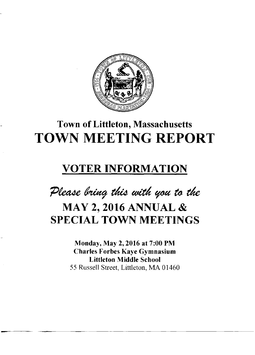

# **Town of Littleton, Massachusetts TOWN MEETING REPORT**

### **VOTER INFORMATION**

Please bring this with you to the

## **MAY 2, 2016 ANNUAL & SPECIAL TOWN MEETINGS**

**Monday, May 2,2016 at 7:00 PM Charles Forbes Kaye Gymnasium Littleton Middle School**  55 Russell Street, Littleton, MA 01460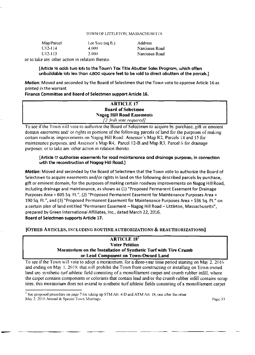#### TOWN OF LITTLETON, MASSACHUSETTS

| Map/Parcel    | Lot $Size$ (sq.ft.)                                                                                             | <b>Address</b> |
|---------------|-----------------------------------------------------------------------------------------------------------------|----------------|
| $[112 - 114]$ | 4.000                                                                                                           | Narcissus Road |
| U12-113       | 2.000                                                                                                           | Narcissus Road |
|               | the contract of the contract of the contract of the contract of the contract of the contract of the contract of |                |

or to take any other action in relation thereto.

**[Article 16 adds two lots to the Town's Tax Title Abutter Sales Program, which offers unbuildable lots less than 4,800 square feet to be sold to direct abutters of the parcels.]** 

*Motion:* Moved and seconded by the Board of Selectmen that the Town vote to approve Article 16 as printed in the warrant.

#### **Finance Committee and Board of Selectmen support Article 16.**

### **ARTICLE 17 Board of Selectmen Nagog Hill Road Easements**

To see if the Town will vote to authorize the Board of Selectmen to acquire by purchase, gift or eminent domain easements and/ or rights in portions of the following parcels of land for the purposes of making certain roadway improvements on Nagog Hill Road: Assessor's Map R2, Parcels 14 and 15 for maintenance purposes: and Assessor's Map R4, Parcel 12-B and Map R3, Parcel 6 for drainage purposes: or to take any other action in relation thereto. *[2>3rds vote required]* 

#### **[Article 17 authorizes easements for road maintenance and drainage purposes, in connection with the reconstruction of Nagog Hill Road.]**

*Motion:* Moved and seconded by the Board of Selectmen that the Town vote to authorize the Board of Selectmen to acquire easements and/or rights in land on the following described parcels by purchase, gift or eminent domain, for the purposes of making certain roadway improvements on Nagog Hill Road, including drainage and maintenance, as shown as (1) "Proposed Permanent Easement for Drainage Purposes Area = 605 Sq. Ft.", (2) "Proposed Permanent Easement for Maintenance Purposes Area = 190 Sq. Ft.", and (3) "Proposed Permanent Easement for Maintenance Purposes Area = 536 Sq. Ft." on a certain plan of land entitled "Permanent Easement - Nagog Hill Road - Littleton, Massachusetts", prepared by Green International Affiliates, Inc., dated March 22, 2016. **Board of Selectmen supports Article 17.** 

**[OTHER ARTICLES, INCLUDING ROUTINE AUTHORIZATIONS & REAUTHORIZATIONS]** 

#### **ARTICLE** 18<sup>2</sup> **Voter Petition Moratorium on the Installation of Synthetic Turf with Tire Crumb or Lead Component on Town-Owned Land**

To see if the Town will vote to adopt a moratorium, for a three-year time period starting on May 2. 2016 and ending on May 1. 2019. that will prohibit the Town from constructing or installing on Town owned land any synthetic turf athletic field consisting of a monofilament carpet and crumb rubber infill, where the carpet contains components or colorants that contain lead and/or the crumb rubber infill contains scrap tires: this moratorium does not extend to synthetic turf athletic fields consisting of a monofilament carpet

<sup>&</sup>lt;sup>2</sup> See proposed procedure on page 7 for taking up STM Art. 4-D and ATM Art. 18, one after the other. May 2. 2016 Annual & Special Town Meetings Page 33